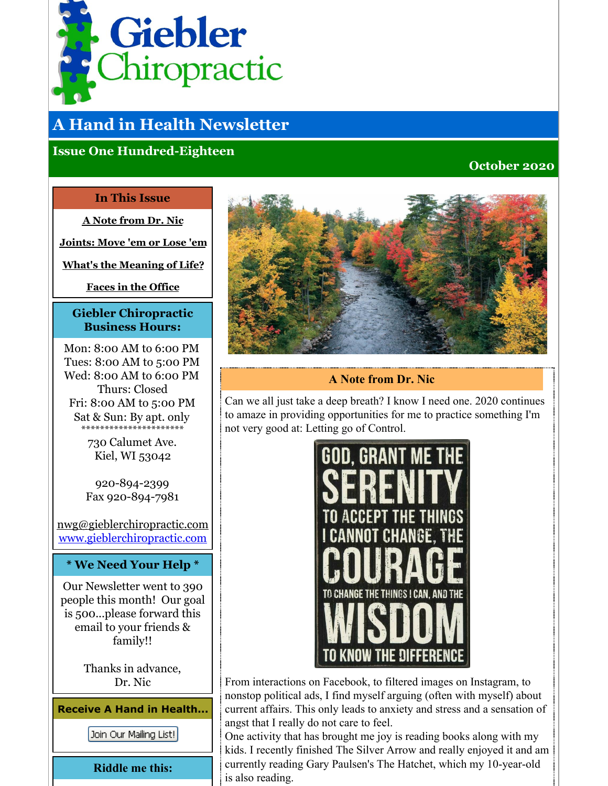<span id="page-0-0"></span>

# **A Hand in Health Newsletter**

# **Issue One Hundred-Eighteen**

## **October 2020**

#### **In This Issue**

**A Note [from](#page-0-0) Dr. Nic**

**[Joints:](#page-0-0) Move 'em or Lose 'em**

**What's the [Meaning](#page-0-0) of Life?**

**Faces in the [Office](#page-0-0)**

## **Giebler Chiropractic Business Hours:**

Mon: 8:00 AM to 6:00 PM Tues: 8:00 AM to 5:00 PM Wed: 8:00 AM to 6:00 PM Thurs: Closed Fri: 8:00 AM to 5:00 PM Sat & Sun: By apt. only \*\*\*\*\*\*\*\*\*\*\*\*\*\*\*\*\*\*\*\*\*\*

730 Calumet Ave. Kiel, WI 53042

920-894-2399 Fax 920-894-7981

nwg@gieblerchiropractic.com [www.gieblerchiropractic.com](http://www.gieblerchiropractic.com)

#### **\* We Need Your Help \***

Our Newsletter went to 390 people this month! Our goal is 500...please forward this email to your friends & family!!

> Thanks in advance, Dr. Nic

**Receive A Hand in Health...**

Join Our Mailing List!

**Riddle me this:**



# **A Note from Dr. Nic**

Can we all just take a deep breath? I know I need one. 2020 continues to amaze in providing opportunities for me to practice something I'm not very good at: Letting go of Control.



From interactions on Facebook, to filtered images on Instagram, to nonstop political ads, I find myself arguing (often with myself) about current affairs. This only leads to anxiety and stress and a sensation of angst that I really do not care to feel.

One activity that has brought me joy is reading books along with my kids. I recently finished The Silver Arrow and really enjoyed it and am currently reading Gary Paulsen's The Hatchet, which my 10-year-old is also reading.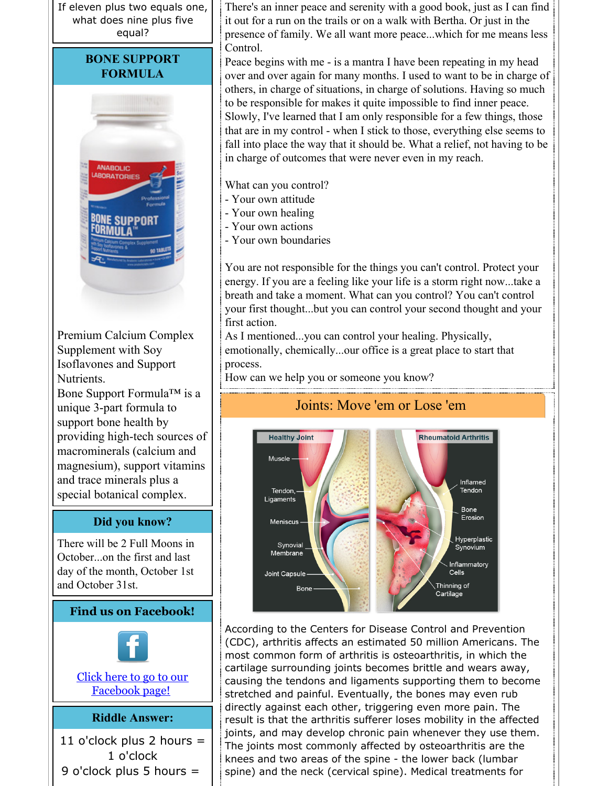If eleven plus two equals one, what does nine plus five equal?

# **BONE SUPPORT FORMULA**



Premium Calcium Complex Supplement with Soy Isoflavones and Support Nutrients.

Bone Support Formula™ is a unique 3-part formula to support bone health by providing high-tech sources of macrominerals (calcium and magnesium), support vitamins and trace minerals plus a special botanical complex.

#### **Did you know?**

There will be 2 Full Moons in October...on the first and last day of the month, October 1st and October 31st.

# **Find us on Facebook!**



Click here to go to our [Facebook](http://www.facebook.com/pages/Giebler-Chiropractic/218099108202339) page!

#### **Riddle Answer:**

11 o'clock plus 2 hours  $=$ 1 o'clock 9 o'clock plus 5 hours =

There's an inner peace and serenity with a good book, just as I can find it out for a run on the trails or on a walk with Bertha. Or just in the presence of family. We all want more peace...which for me means less Control.

Peace begins with me - is a mantra I have been repeating in my head over and over again for many months. I used to want to be in charge of others, in charge of situations, in charge of solutions. Having so much to be responsible for makes it quite impossible to find inner peace. Slowly, I've learned that I am only responsible for a few things, those that are in my control - when I stick to those, everything else seems to fall into place the way that it should be. What a relief, not having to be in charge of outcomes that were never even in my reach.

What can you control?

- Your own attitude
- Your own healing
- Your own actions
- Your own boundaries

You are not responsible for the things you can't control. Protect your energy. If you are a feeling like your life is a storm right now...take a breath and take a moment. What can you control? You can't control your first thought...but you can control your second thought and your first action.

As I mentioned...you can control your healing. Physically, emotionally, chemically...our office is a great place to start that process.

How can we help you or someone you know?



According to the Centers for Disease Control and Prevention (CDC), arthritis affects an estimated 50 million Americans. The most common form of arthritis is osteoarthritis, in which the cartilage surrounding joints becomes brittle and wears away, causing the tendons and ligaments supporting them to become stretched and painful. Eventually, the bones may even rub directly against each other, triggering even more pain. The result is that the arthritis sufferer loses mobility in the affected joints, and may develop chronic pain whenever they use them. The joints most commonly affected by osteoarthritis are the knees and two areas of the spine - the lower back (lumbar spine) and the neck (cervical spine). Medical treatments for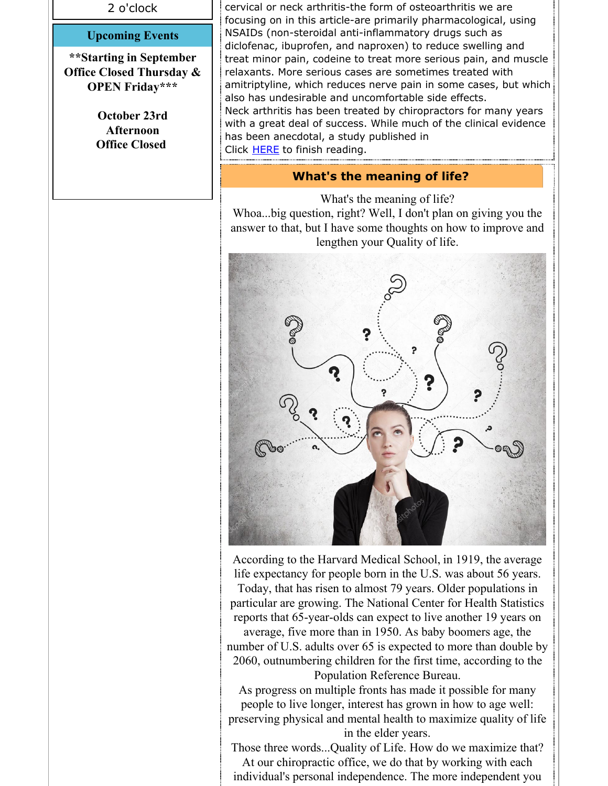2 o'clock

#### **Upcoming Events**

**\*\*Starting in September Office Closed Thursday & OPEN Friday\*\*\***

> **October 23rd Afternoon Office Closed**

cervical or neck arthritis-the form of osteoarthritis we are focusing on in this article-are primarily pharmacological, using NSAIDs (non-steroidal anti-inflammatory drugs such as diclofenac, ibuprofen, and naproxen) to reduce swelling and treat minor pain, codeine to treat more serious pain, and muscle relaxants. More serious cases are sometimes treated with amitriptyline, which reduces nerve pain in some cases, but which also has undesirable and uncomfortable side effects. Neck arthritis has been treated by chiropractors for many years with a great deal of success. While much of the clinical evidence has been anecdotal, a study published in Click **[HERE](https://gieblerchiropractic.blogspot.com/2020/10/joints-move-em-or-lose-em.html)** to finish reading.

#### **What's the meaning of life?**

What's the meaning of life?

Whoa...big question, right? Well, I don't plan on giving you the answer to that, but I have some thoughts on how to improve and lengthen your Quality of life.



According to the Harvard Medical School, in 1919, the average life expectancy for people born in the U.S. was about 56 years. Today, that has risen to almost 79 years. Older populations in particular are growing. The National Center for Health Statistics reports that 65-year-olds can expect to live another 19 years on

average, five more than in 1950. As baby boomers age, the number of U.S. adults over 65 is expected to more than double by 2060, outnumbering children for the first time, according to the Population Reference Bureau.

As progress on multiple fronts has made it possible for many people to live longer, interest has grown in how to age well: preserving physical and mental health to maximize quality of life in the elder years.

Those three words...Quality of Life. How do we maximize that? At our chiropractic office, we do that by working with each

individual's personal independence. The more independent you